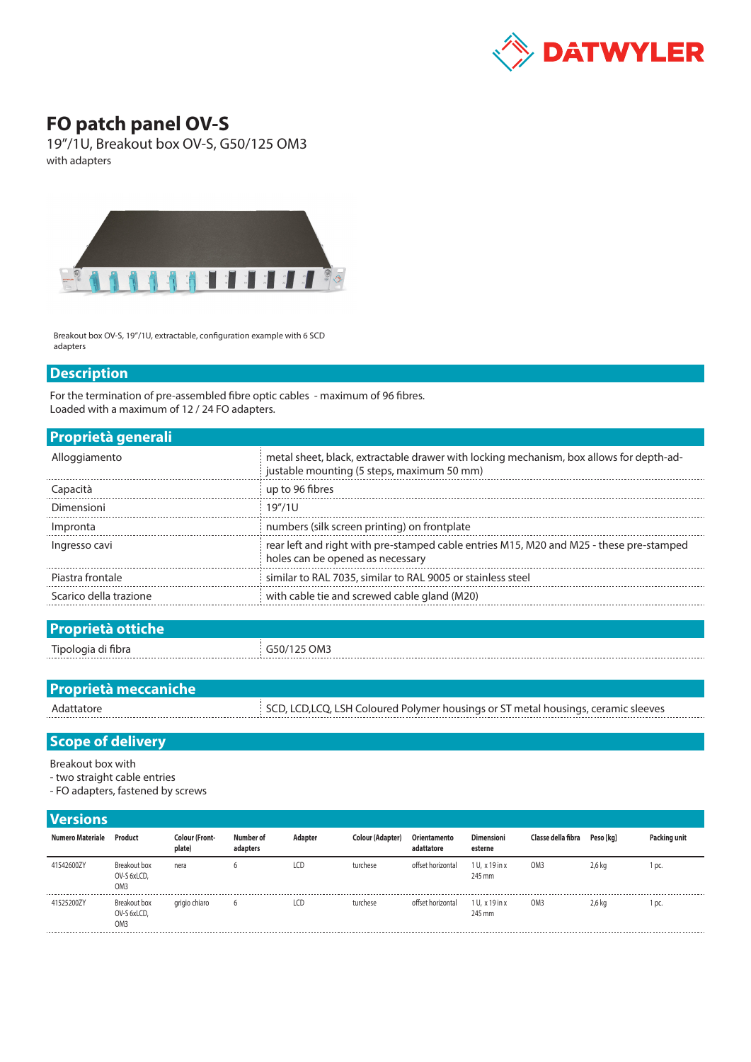

## **FO patch panel OV-S**

19"/1U, Breakout box OV-S, G50/125 OM3 with adapters



Breakout box OV-S, 19"/1U, extractable, configuration example with 6 SCD adapters

## **Description**

For the termination of pre-assembled fibre optic cables - maximum of 96 fibres. Loaded with a maximum of 12 / 24 FO adapters.

| <b>Proprietà generali</b> |                                                                                                                                       |
|---------------------------|---------------------------------------------------------------------------------------------------------------------------------------|
| Alloggiamento             | metal sheet, black, extractable drawer with locking mechanism, box allows for depth-ad-<br>justable mounting (5 steps, maximum 50 mm) |
| Capacità                  | up to 96 fibres                                                                                                                       |
| Dimensioni                | 19''/11                                                                                                                               |
| Impronta                  | numbers (silk screen printing) on frontplate                                                                                          |
| Ingresso cavi             | rear left and right with pre-stamped cable entries M15, M20 and M25 - these pre-stamped<br>holes can be opened as necessary           |
| Piastra frontale          | similar to RAL 7035, similar to RAL 9005 or stainless steel                                                                           |
| Scarico della trazione    | with cable tie and screwed cable gland (M20)                                                                                          |
|                           |                                                                                                                                       |

| <b>Proprietà ottiche</b> |             |
|--------------------------|-------------|
| Tipologia di fibra       | G50/125 OM3 |
|                          |             |

| <b>Proprietà meccaniche</b> |                                                                                    |
|-----------------------------|------------------------------------------------------------------------------------|
| Adattatore                  | SCD, LCD, LCQ, LSH Coloured Polymer housings or ST metal housings, ceramic sleeves |
|                             |                                                                                    |

## **Scope of delivery**

Breakout box with

- two straight cable entries
- FO adapters, fastened by screws

## **Versions**

| Numero Materiale | Product                                        | <b>Colour (Front-</b><br>plate) | Number of<br>adapters | Adapter | <b>Colour (Adapter)</b> | Orientamento<br>adattatore | <b>Dimensioni</b><br>esterne | Classe della fibra | Peso [kg] | Packing unit |
|------------------|------------------------------------------------|---------------------------------|-----------------------|---------|-------------------------|----------------------------|------------------------------|--------------------|-----------|--------------|
| 41542600ZY       | Breakout box<br>OV-S 6xLCD,<br>OM <sub>3</sub> | nera                            | b                     | LCD     | turchese                | offset horizontal          | 1 U. x 19 in x<br>245 mm     | OM <sub>3</sub>    | $2,6$ kg  | DC.          |
| 41525200ZY       | Breakout box<br>OV-S 6xLCD,<br>OM <sub>3</sub> | grigio chiaro                   | b                     | LCD     | turchese                | offset horizontal          | 1 U. x 19 in x<br>245 mm     | OM <sub>3</sub>    | 2.6 kg    | DC.          |